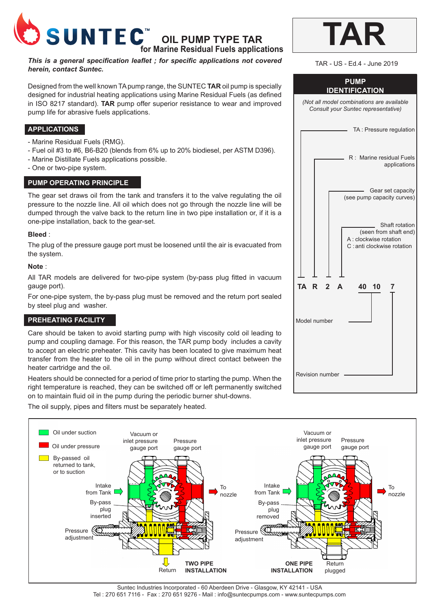

# **OIL PUMP TYPE TAR**

**for Marine Residual Fuels applications**

*This is a general specification leaflet ; for specific applications not covered herein, contact Suntec.*

Designed from the well known TA pump range, the SUNTEC **TAR** oil pump is specially designed for industrial heating applications using Marine Residual Fuels (as defined in ISO 8217 standard). **TAR** pump offer superior resistance to wear and improved pump life for abrasive fuels applications.

## **APPLICATIONS**

- Marine Residual Fuels (RMG).
- Fuel oil #3 to #6, B6-B20 (blends from 6% up to 20% biodiesel, per ASTM D396).
- Marine Distillate Fuels applications possible.
- One or two-pipe system.

#### **PUMP OPERATING PRINCIPLE**

The gear set draws oil from the tank and transfers it to the valve regulating the oil pressure to the nozzle line. All oil which does not go through the nozzle line will be dumped through the valve back to the return line in two pipe installation or, if it is a one-pipe installation, back to the gear-set.

#### **Bleed** :

The plug of the pressure gauge port must be loosened until the air is evacuated from the system.

#### **Note** :

All TAR models are delivered for two-pipe system (by-pass plug fitted in vacuum gauge port).

For one-pipe system, the by-pass plug must be removed and the return port sealed by steel plug and washer.

### **PREHEATING FACILITY**

Care should be taken to avoid starting pump with high viscosity cold oil leading to pump and coupling damage. For this reason, the TAR pump body includes a cavity to accept an electric preheater. This cavity has been located to give maximum heat transfer from the heater to the oil in the pump without direct contact between the heater cartridge and the oil.

Heaters should be connected for a period of time prior to starting the pump. When the right temperature is reached, they can be switched off or left permanently switched on to maintain fluid oil in the pump during the periodic burner shut-downs.

The oil supply, pipes and filters must be separately heated.

| TAR                                                                              |
|----------------------------------------------------------------------------------|
| TAR - US - Ed.4 - June 2019                                                      |
| <b>PUMP</b><br><b>IDENTIFICATION</b>                                             |
| (Not all model combinations are available<br>Consult your Suntec representative) |
| TA: Pressure regulation                                                          |
| R : Marine residual Fuels<br>applications                                        |
| Gear set capacity<br>(see pump capacity curves)                                  |